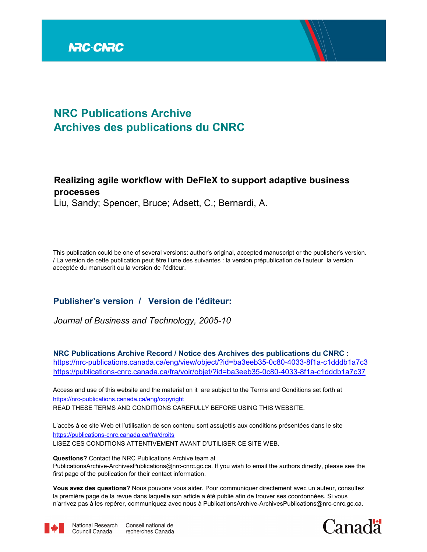

# **NRC Publications Archive Archives des publications du CNRC**

# **Realizing agile workflow with DeFleX to support adaptive business processes**

Liu, Sandy; Spencer, Bruce; Adsett, C.; Bernardi, A.

This publication could be one of several versions: author's original, accepted manuscript or the publisher's version. / La version de cette publication peut être l'une des suivantes : la version prépublication de l'auteur, la version acceptée du manuscrit ou la version de l'éditeur.

# **Publisher's version / Version de l'éditeur:**

*Journal of Business and Technology, 2005-10*

**NRC Publications Archive Record / Notice des Archives des publications du CNRC :** https://nrc-publications.canada.ca/eng/view/object/?id=ba3eeb35-0c80-4033-8f1a-c1dddb1a7c3 https://publications-cnrc.canada.ca/fra/voir/objet/?id=ba3eeb35-0c80-4033-8f1a-c1dddb1a7c37

READ THESE TERMS AND CONDITIONS CAREFULLY BEFORE USING THIS WEBSITE. https://nrc-publications.canada.ca/eng/copyright Access and use of this website and the material on it are subject to the Terms and Conditions set forth at

https://publications-cnrc.canada.ca/fra/droits L'accès à ce site Web et l'utilisation de son contenu sont assujettis aux conditions présentées dans le site LISEZ CES CONDITIONS ATTENTIVEMENT AVANT D'UTILISER CE SITE WEB.

**Questions?** Contact the NRC Publications Archive team at PublicationsArchive-ArchivesPublications@nrc-cnrc.gc.ca. If you wish to email the authors directly, please see the

first page of the publication for their contact information.

**Vous avez des questions?** Nous pouvons vous aider. Pour communiquer directement avec un auteur, consultez la première page de la revue dans laquelle son article a été publié afin de trouver ses coordonnées. Si vous n'arrivez pas à les repérer, communiquez avec nous à PublicationsArchive-ArchivesPublications@nrc-cnrc.gc.ca.



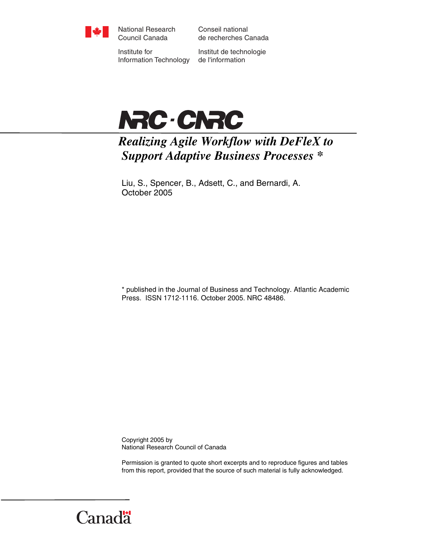

National Research Council Canada

Conseil national de recherches Canada

Institute for Information Technology

Institut de technologie de l'information



# *Realizing Agile Workflow with DeFleX to Support Adaptive Business Processes \**

Liu, S., Spencer, B., Adsett, C., and Bernardi, A. October 2005

\* published in the Journal of Business and Technology. Atlantic Academic Press. ISSN 1712-1116. October 2005. NRC 48486.

Copyright 2005 by National Research Council of Canada

Permission is granted to quote short excerpts and to reproduce figures and tables from this report, provided that the source of such material is fully acknowledged.

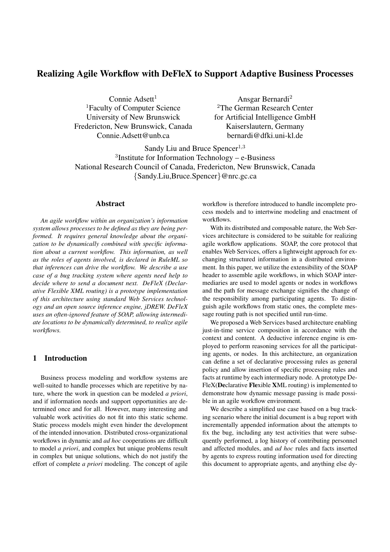# **Realizing Agile Workflow with DeFleX to Support Adaptive Business Processes**

Connie  $Adsett<sup>1</sup>$ <sup>1</sup>Faculty of Computer Science University of New Brunswick Fredericton, New Brunswick, Canada Connie.Adsett@unb.ca

Ansgar Bernardi<sup>2</sup> <sup>2</sup>The German Research Center for Artificial Intelligence GmbH Kaiserslautern, Germany bernardi@dfki.uni-kl.de

Sandy Liu and Bruce Spencer $1,3$ 3 Institute for Information Technology – e-Business National Research Council of Canada, Fredericton, New Brunswick, Canada {Sandy.Liu,Bruce.Spencer}@nrc.gc.ca

#### **Abstract**

*An agile workflow within an organization's information system allows processes to be defined as they are being performed. It requires general knowledge about the organization to be dynamically combined with specific information about a current workflow. This information, as well as the roles of agents involved, is declared in RuleML so that inferences can drive the workflow. We describe a use case of a bug tracking system where agents need help to decide where to send a document next. DeFleX (Declarative Flexible XML routing) is a prototype implementation of this architecture using standard Web Services technology and an open source inference engine, jDREW. DeFleX uses an often-ignored feature of SOAP, allowing intermediate locations to be dynamically determined, to realize agile workflows.*

## **1 Introduction**

Business process modeling and workflow systems are well-suited to handle processes which are repetitive by nature, where the work in question can be modeled *a priori*, and if information needs and support opportunities are determined once and for all. However, many interesting and valuable work activities do not fit into this static scheme. Static process models might even hinder the development of the intended innovation. Distributed cross-organizational workflows in dynamic and *ad hoc* cooperations are difficult to model *a priori*, and complex but unique problems result in complex but unique solutions, which do not justify the effort of complete *a priori* modeling. The concept of agile workflow is therefore introduced to handle incomplete process models and to intertwine modeling and enactment of workflows.

With its distributed and composable nature, the Web Services architecture is considered to be suitable for realizing agile workflow applications. SOAP, the core protocol that enables Web Services, offers a lightweight approach for exchanging structured information in a distributed environment. In this paper, we utilize the extensibility of the SOAP header to assemble agile workflows, in which SOAP intermediaries are used to model agents or nodes in workflows and the path for message exchange signifies the change of the responsibility among participating agents. To distinguish agile workflows from static ones, the complete message routing path is not specified until run-time.

We proposed a Web Services based architecture enabling just-in-time service composition in accordance with the context and content. A deductive inference engine is employed to perform reasoning services for all the participating agents, or nodes. In this architecture, an organization can define a set of declarative processing rules as general policy and allow insertion of specific processing rules and facts at runtime by each intermediary node. A prototype De-FleX(**De**clarative **Fle**xible **X**ML routing) is implemented to demonstrate how dynamic message passing is made possible in an agile workflow environment.

We describe a simplified use case based on a bug tracking scenario where the initial document is a bug report with incrementally appended information about the attempts to fix the bug, including any test activities that were subsequently performed, a log history of contributing personnel and affected modules, and *ad hoc* rules and facts inserted by agents to express routing information used for directing this document to appropriate agents, and anything else dy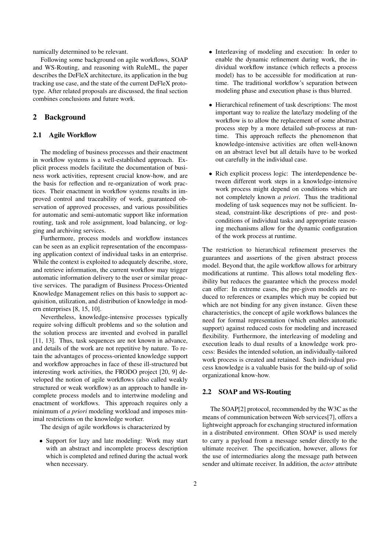namically determined to be relevant.

Following some background on agile workflows, SOAP and WS-Routing, and reasoning with RuleML, the paper describes the DeFleX architecture, its application in the bug tracking use case, and the state of the current DeFleX prototype. After related proposals are discussed, the final section combines conclusions and future work.

#### **2 Background**

#### **2.1 Agile Workflow**

The modeling of business processes and their enactment in workflow systems is a well-established approach. Explicit process models facilitate the documentation of business work activities, represent crucial know-how, and are the basis for reflection and re-organization of work practices. Their enactment in workflow systems results in improved control and traceability of work, guaranteed observation of approved processes, and various possibilities for automatic and semi-automatic support like information routing, task and role assignment, load balancing, or logging and archiving services.

Furthermore, process models and workflow instances can be seen as an explicit representation of the encompassing application context of individual tasks in an enterprise. While the context is exploited to adequately describe, store, and retrieve information, the current workflow may trigger automatic information delivery to the user or similar proactive services. The paradigm of Business Process-Oriented Knowledge Management relies on this basis to support acquisition, utilization, and distribution of knowledge in modern enterprises [8, 15, 10].

Nevertheless, knowledge-intensive processes typically require solving difficult problems and so the solution and the solution process are invented and evolved in parallel [11, 13]. Thus, task sequences are not known in advance, and details of the work are not repetitive by nature. To retain the advantages of process-oriented knowledge support and workflow approaches in face of these ill-structured but interesting work activities, the FRODO project [20, 9] developed the notion of agile workflows (also called weakly structured or weak workflow) as an approach to handle incomplete process models and to intertwine modeling and enactment of workflows. This approach requires only a minimum of *a priori* modeling workload and imposes minimal restrictions on the knowledge worker.

The design of agile workflows is characterized by

• Support for lazy and late modeling: Work may start with an abstract and incomplete process description which is completed and refined during the actual work when necessary.

- Interleaving of modeling and execution: In order to enable the dynamic refinement during work, the individual workflow instance (which reflects a process model) has to be accessible for modification at runtime. The traditional workflow's separation between modeling phase and execution phase is thus blurred.
- Hierarchical refinement of task descriptions: The most important way to realize the late/lazy modeling of the workflow is to allow the replacement of some abstract process step by a more detailed sub-process at runtime. This approach reflects the phenomenon that knowledge-intensive activities are often well-known on an abstract level but all details have to be worked out carefully in the individual case.
- Rich explicit process logic: The interdependence between different work steps in a knowledge-intensive work process might depend on conditions which are not completely known *a priori*. Thus the traditional modeling of task sequences may not be sufficient. Instead, constraint-like descriptions of pre- and postconditions of individual tasks and appropriate reasoning mechanisms allow for the dynamic configuration of the work process at runtime.

The restriction to hierarchical refinement preserves the guarantees and assertions of the given abstract process model. Beyond that, the agile workflow allows for arbitrary modifications at runtime. This allows total modeling flexibility but reduces the guarantee which the process model can offer: In extreme cases, the pre-given models are reduced to references or examples which may be copied but which are not binding for any given instance. Given these characteristics, the concept of agile workflows balances the need for formal representation (which enables automatic support) against reduced costs for modeling and increased flexibility. Furthermore, the interleaving of modeling and execution leads to dual results of a knowledge work process: Besides the intended solution, an individually-tailored work process is created and retained. Such individual process knowledge is a valuable basis for the build-up of solid organizational know-how.

#### **2.2 SOAP and WS-Routing**

The SOAP[2] protocol, recommended by the W3C as the means of communication between Web services[7], offers a lightweight approach for exchanging structured information in a distributed environment. Often SOAP is used merely to carry a payload from a message sender directly to the ultimate receiver. The specification, however, allows for the use of intermediaries along the message path between sender and ultimate receiver. In addition, the *actor* attribute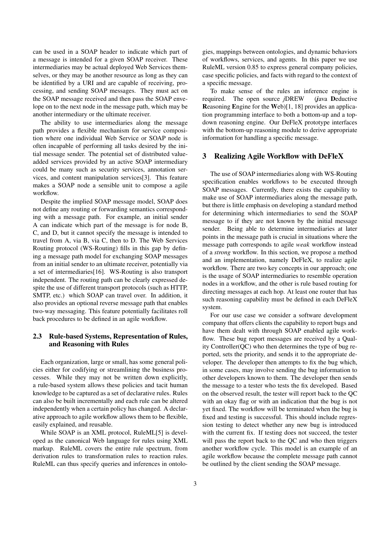can be used in a SOAP header to indicate which part of a message is intended for a given SOAP receiver. These intermediaries may be actual deployed Web Services themselves, or they may be another resource as long as they can be identified by a URI and are capable of receiving, processing, and sending SOAP messages. They must act on the SOAP message received and then pass the SOAP envelope on to the next node in the message path, which may be another intermediary or the ultimate receiver.

The ability to use intermediaries along the message path provides a flexible mechanism for service composition where one individual Web Service or SOAP node is often incapable of performing all tasks desired by the initial message sender. The potential set of distributed valueadded services provided by an active SOAP intermediary could be many such as security services, annotation services, and content manipulation services[3]. This feature makes a SOAP node a sensible unit to compose a agile workflow.

Despite the implied SOAP message model, SOAP does not define any routing or forwarding semantics corresponding with a message path. For example, an initial sender A can indicate which part of the message is for node B, C, and D, but it cannot specify the message is intended to travel from A, via B, via C, then to D. The Web Services Routing protocol (WS-Routing) fills in this gap by defining a message path model for exchanging SOAP messages from an initial sender to an ultimate receiver, potentially via a set of intermediaries[16]. WS-Routing is also transport independent. The routing path can be clearly expressed despite the use of different transport protocols (such as HTTP, SMTP, etc.) which SOAP can travel over. In addition, it also provides an optional reverse message path that enables two-way messaging. This feature potentially facilitates roll back procedures to be defined in an agile workflow.

#### **2.3 Rule-based Systems, Representation of Rules, and Reasoning with Rules**

Each organization, large or small, has some general policies either for codifying or streamlining the business processes. While they may not be written down explicitly, a rule-based system allows these policies and tacit human knowledge to be captured as a set of declarative rules. Rules can also be built incrementally and each rule can be altered independently when a certain policy has changed. A declarative approach to agile workflow allows them to be flexible, easily explained, and reusable.

While SOAP is an XML protocol, RuleML[5] is developed as the canonical Web language for rules using XML markup. RuleML covers the entire rule spectrum, from derivation rules to transformation rules to reaction rules. RuleML can thus specify queries and inferences in ontologies, mappings between ontologies, and dynamic behaviors of workflows, services, and agents. In this paper we use RuleML version 0.85 to express general company policies, case specific policies, and facts with regard to the context of a specific message.

To make sense of the rules an inference engine is required. The open source *j*DREW (*j*ava **D**eductive **R**easoning **E**ngine for the **W**eb)[1, 18] provides an application programming interface to both a bottom-up and a topdown reasoning engine. Our DeFleX prototype interfaces with the bottom-up reasoning module to derive appropriate information for handling a specific message.

#### **3 Realizing Agile Workflow with DeFleX**

The use of SOAP intermediaries along with WS-Routing specification enables workflows to be executed through SOAP messages. Currently, there exists the capability to make use of SOAP intermediaries along the message path, but there is little emphasis on developing a standard method for determining which intermediaries to send the SOAP message to if they are not known by the initial message sender. Being able to determine intermediaries at later points in the message path is crucial in situations where the message path corresponds to agile *weak* workflow instead of a *strong* workflow. In this section, we propose a method and an implementation, namely DeFleX, to realize agile workflow. There are two key concepts in our approach; one is the usage of SOAP intermediaries to resemble operation nodes in a workflow, and the other is rule based routing for directing messages at each hop. At least one router that has such reasoning capability must be defined in each DeFleX system.

For our use case we consider a software development company that offers clients the capability to report bugs and have them dealt with through SOAP enabled agile workflow. These bug report messages are received by a Quality Controller(QC) who then determines the type of bug reported, sets the priority, and sends it to the appropriate developer. The developer then attempts to fix the bug which, in some cases, may involve sending the bug information to other developers known to them. The developer then sends the message to a tester who tests the fix developed. Based on the observed result, the tester will report back to the QC with an okay flag or with an indication that the bug is not yet fixed. The workflow will be terminated when the bug is fixed and testing is successful. This should include regression testing to detect whether any new bug is introduced with the current fix. If testing does not succeed, the tester will pass the report back to the QC and who then triggers another workflow cycle. This model is an example of an agile workflow because the complete message path cannot be outlined by the client sending the SOAP message.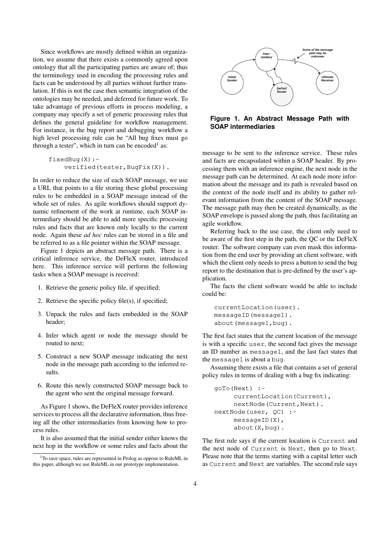Since workflows are mostly defined within an organization, we assume that there exists a commonly agreed upon ontology that all the participating parties are aware of; thus the terminology used in encoding the processing rules and facts can be understood by all parties without further translation. If this is not the case then semantic integration of the ontologies may be needed, and deferred for future work. To take advantage of previous efforts in process modeling, a company may specify a set of generic processing rules that defines the general guideline for workflow management. For instance, in the bug report and debugging workflow a high level processing rule can be "All bug fixes must go through a tester", which in turn can be encoded<sup>1</sup> as:

```
fixedBug(X):-
    verified(tester, BugFix(X)).
```
In order to reduce the size of each SOAP message, we use a URL that points to a file storing these global processing rules to be embedded in a SOAP message instead of the whole set of rules. As agile workflows should support dynamic refinement of the work at runtime, each SOAP intermediary should be able to add more specific processing rules and facts that are known only locally to the current node. Again these *ad hoc* rules can be stored in a file and be referred to as a file pointer within the SOAP message.

Figure 1 depicts an abstract message path. There is a critical inference service, the DeFleX router, introduced here. This inference service will perform the following tasks when a SOAP message is received:

- 1. Retrieve the generic policy file, if specified;
- 2. Retrieve the specific policy file(s), if specified;
- 3. Unpack the rules and facts embedded in the SOAP header;
- 4. Infer which agent or node the message should be routed to next;
- 5. Construct a new SOAP message indicating the next node in the message path according to the inferred results.
- 6. Route this newly constructed SOAP message back to the agent who sent the original message forward.

As Figure 1 shows, the DeFleX router provides inference services to process all the declarative information, thus freeing all the other intermediaries from knowing how to process rules.

It is also assumed that the initial sender either knows the next hop in the workflow or some rules and facts about the



**Figure 1. An Abstract Message Path with SOAP intermediaries**

message to be sent to the inference service. These rules and facts are encapsulated within a SOAP header. By processing them with an inference engine, the next node in the message path can be determined. At each node more information about the message and its path is revealed based on the context of the node itself and its ability to gather relevant information from the content of the SOAP message. The message path may then be created dynamically, as the SOAP envelope is passed along the path, thus facilitating an agile workflow.

Referring back to the use case, the client only need to be aware of the first step in the path, the QC or the DeFleX router. The software company can even mask this information from the end user by providing an client software, with which the client only needs to press a button to send the bug report to the destination that is pre-defined by the user's application.

The facts the client software would be able to include could be:

```
currentLocation(user).
messageID(message1).
about(message1,bug).
```
The first fact states that the current location of the message is with a specific user, the second fact gives the message an ID number as message1, and the last fact states that the message1 is about a bug.

Assuming there exists a file that contains a set of general policy rules in terms of dealing with a bug fix indicating:

```
goTo(Next) :-
     currentLocation(Current),
     nextNode(Current,Next).
nextNode(user, QC) :-
     messageID(X),
     about(X,bug).
```
The first rule says if the current location is Current and the next node of Current is Next, then go to Next. Please note that the terms starting with a capital letter such as Current and Next are variables. The second rule says

<sup>&</sup>lt;sup>1</sup>To save space, rules are represented in Prolog as oppose to RuleML in this paper, although we use RuleML in our prototype implementation.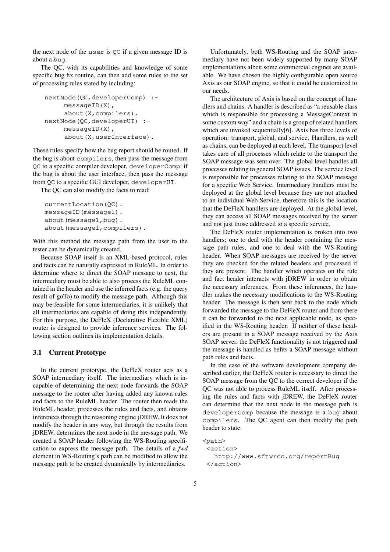the next node of the user is QC if a given message ID is about a bug.

The QC, with its capabilities and knowledge of some specific bug fix routine, can then add some rules to the set of processing rules stated by including:

```
nextNode(QC,developerComp) :-
     messageID(X),
     about(X,compilers).
nextNode(QC,developerUI) :-
     messageID(X),
     about (X, userInterface).
```
These rules specify how the bug report should be routed. If the bug is about compilers, then pass the message from QC to a specific compiler developer, developerComp; if the bug is about the user interface, then pass the message from QC to a specific GUI developer, developerUI.

The QC can also modify the facts to read:

```
currentLocation(QC).
messageID(message1).
about (message1, bug).
about(message1,compilers).
```
With this method the message path from the user to the tester can be dynamically created.

Because SOAP itself is an XML-based protocol, rules and facts can be naturally expressed in RuleML. In order to determine where to direct the SOAP message to next, the intermediary must be able to also process the RuleML contained in the header and use the inferred facts (e.g. the query result of goTo) to modify the message path. Although this may be feasible for some intermediaries, it is unlikely that all intermediaries are capable of doing this independently. For this purpose, the DeFleX (Declarative Flexible XML) router is designed to provide inference services. The following section outlines its implementation details.

#### **3.1 Current Prototype**

In the current prototype, the DeFleX router acts as a SOAP intermediary itself. The intermediary which is incapable of determining the next node forwards the SOAP message to the router after having added any known rules and facts to the RuleML header. The router then reads the RuleML header, processes the rules and facts, and obtains inferences through the reasoning engine jDREW. It does not modify the header in any way, but through the results from jDREW, determines the next node in the message path. We created a SOAP header following the WS-Routing specification to express the message path. The details of a *fwd* element in WS-Routing's path can be modified to allow the message path to be created dynamically by intermediaries.

Unfortunately, both WS-Routing and the SOAP intermediary have not been widely supported by many SOAP implementations albeit some commercial engines are available. We have chosen the highly configurable open source Axis as our SOAP engine, so that it could be customized to our needs.

The architecture of Axis is based on the concept of handlers and chains. A handler is described as "a reusable class which is responsible for processing a MessageContext in some custom way" and a chain is a group of related handlers which are invoked sequentially[6]. Axis has three levels of operation: transport, global, and service. Handlers, as well as chains, can be deployed at each level. The transport level takes care of all processes which relate to the transport the SOAP message was sent over. The global level handles all processes relating to general SOAP issues. The service level is responsible for processes relating to the SOAP message for a specific Web Service. Intermediary handlers must be deployed at the global level because they are not attached to an individual Web Service, therefore this is the location that the DeFleX handlers are deployed. At the global level, they can access all SOAP messages received by the server and not just those addressed to a specific service.

The DeFleX router implementation is broken into two handlers; one to deal with the header containing the message path rules, and one to deal with the WS-Routing header. When SOAP messages are received by the server they are checked for the related headers and processed if they are present. The handler which operates on the rule and fact header interacts with jDREW in order to obtain the necessary inferences. From these inferences, the handler makes the necessary modifications to the WS-Routing header. The message is then sent back to the node which forwarded the message to the DeFleX router and from there it can be forwarded to the next applicable node, as specified in the WS-Routing header. If neither of these headers are present in a SOAP message received by the Axis SOAP server, the DeFleX functionality is not triggered and the message is handled as befits a SOAP message without path rules and facts.

In the case of the software development company described earlier, the DeFleX router is necessary to direct the SOAP message from the QC to the correct developer if the QC was not able to process RuleML itself. After processing the rules and facts with jDREW, the DeFleX router can determine that the next node in the message path is developerComp because the message is a bug about compilers. The QC agent can then modify the path header to state:

```
<path>
```

```
<action>
 http://www.sftwrco.org/reportBug
</action>
```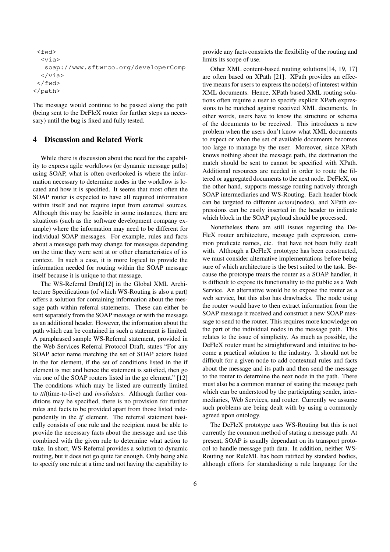```
<fwd>
  <via>
   soap://www.sftwrco.org/developerComp
  \langle/via>
 </fwd>
</path>
```
The message would continue to be passed along the path (being sent to the DeFleX router for further steps as necessary) until the bug is fixed and fully tested.

## **4 Discussion and Related Work**

While there is discussion about the need for the capability to express agile workflows (or dynamic message paths) using SOAP, what is often overlooked is where the information necessary to determine nodes in the workflow is located and how it is specified. It seems that most often the SOAP router is expected to have all required information within itself and not require input from external sources. Although this may be feasible in some instances, there are situations (such as the software development company example) where the information may need to be different for individual SOAP messages. For example, rules and facts about a message path may change for messages depending on the time they were sent at or other characteristics of its context. In such a case, it is more logical to provide the information needed for routing within the SOAP message itself because it is unique to that message.

The WS-Referral Draft[12] in the Global XML Architecture Specifications (of which WS-Routing is also a part) offers a solution for containing information about the message path within referral statements. These can either be sent separately from the SOAP message or with the message as an additional header. However, the information about the path which can be contained in such a statement is limited. A paraphrased sample WS-Referral statement, provided in the Web Services Referral Protocol Draft, states "For any SOAP actor name matching the set of SOAP actors listed in the for element, if the set of conditions listed in the if element is met and hence the statement is satisfied, then go via one of the SOAP routers listed in the go element." [12] The conditions which may be listed are currently limited to *ttl*(time-to-live) and *invalidates*. Although further conditions may be specified, there is no provision for further rules and facts to be provided apart from those listed independently in the *if* element. The referral statement basically consists of one rule and the recipient must be able to provide the necessary facts about the message and use this combined with the given rule to determine what action to take. In short, WS-Referral provides a solution to dynamic routing, but it does not go quite far enough. Only being able to specify one rule at a time and not having the capability to provide any facts constricts the flexibility of the routing and limits its scope of use.

Other XML content-based routing solutions[14, 19, 17] are often based on XPath [21]. XPath provides an effective means for users to express the node(s) of interest within XML documents. Hence, XPath based XML routing solutions often require a user to specify explicit XPath expressions to be matched against received XML documents. In other words, users have to know the structure or schema of the documents to be received. This introduces a new problem when the users don't know what XML documents to expect or when the set of available documents becomes too large to manage by the user. Moreover, since XPath knows nothing about the message path, the destination the match should be sent to cannot be specified with XPath. Additional resources are needed in order to route the filtered or aggregated documents to the next node. DeFleX, on the other hand, supports message routing natively through SOAP intermediaries and WS-Routing. Each header block can be targeted to different *actors*(nodes), and XPath expressions can be easily inserted in the header to indicate which block in the SOAP payload should be processed.

Nonetheless there are still issues regarding the De-FleX router architecture, message path expression, common predicate names, etc. that have not been fully dealt with. Although a DeFleX prototype has been constructed, we must consider alternative implementations before being sure of which architecture is the best suited to the task. Because the prototype treats the router as a SOAP handler, it is difficult to expose its functionality to the public as a Web Service. An alternative would be to expose the router as a web service, but this also has drawbacks. The node using the router would have to then extract information from the SOAP message it received and construct a new SOAP message to send to the router. This requires more knowledge on the part of the individual nodes in the message path. This relates to the issue of simplicity. As much as possible, the DeFleX router must be straightforward and intuitive to become a practical solution to the industry. It should not be difficult for a given node to add contextual rules and facts about the message and its path and then send the message to the router to determine the next node in the path. There must also be a common manner of stating the message path which can be understood by the participating sender, intermediaries, Web Services, and router. Currently we assume such problems are being dealt with by using a commonly agreed upon ontology.

The DeFleX prototype uses WS-Routing but this is not currently the common method of stating a message path. At present, SOAP is usually dependant on its transport protocol to handle message path data. In addition, neither WS-Routing nor RuleML has been ratified by standard bodies, although efforts for standardizing a rule language for the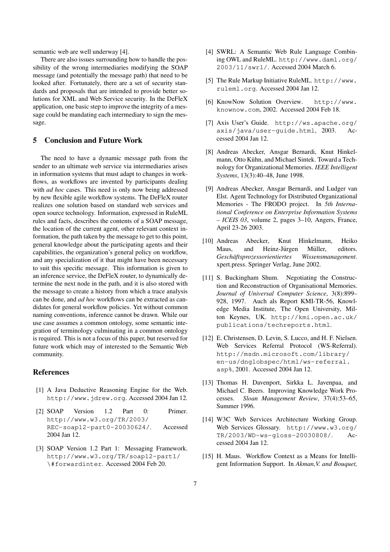semantic web are well underway [4].

There are also issues surrounding how to handle the possibility of the wrong intermediaries modifying the SOAP message (and potentially the message path) that need to be looked after. Fortunately, there are a set of security standards and proposals that are intended to provide better solutions for XML and Web Service security. In the DeFleX application, one basic step to improve the integrity of a message could be mandating each intermediary to sign the message.

### **5 Conclusion and Future Work**

The need to have a dynamic message path from the sender to an ultimate web service via intermediaries arises in information systems that must adapt to changes in workflows, as workflows are invented by participants dealing with *ad hoc* cases. This need is only now being addressed by new flexible agile workflow systems. The DeFleX router realizes one solution based on standard web services and open source technology. Information, expressed in RuleML rules and facts, describes the contents of a SOAP message, the location of the current agent, other relevant context information, the path taken by the message to get to this point, general knowledge about the participating agents and their capabilities, the organization's general policy on workflow, and any specialization of it that might have been necessary to suit this specific message. This information is given to an inference service, the DeFleX router, to dynamically determine the next node in the path, and it is also stored with the message to create a history from which a trace analysis can be done, and *ad hoc* workflows can be extracted as candidates for general workflow policies. Yet without common naming conventions, inference cannot be drawn. While our use case assumes a common ontology, some semantic integration of terminology culminating in a common ontology is required. This is not a focus of this paper, but reserved for future work which may of interested to the Semantic Web community.

### **References**

- [1] A Java Deductive Reasoning Engine for the Web. http://www.jdrew.org. Accessed 2004 Jan 12.
- [2] SOAP Version 1.2 Part 0: Primer. http://www.w3.org/TR/2003/ REC-soap12-part0-20030624/. Accessed 2004 Jan 12.
- [3] SOAP Version 1.2 Part 1: Messaging Framework. http://www.w3.org/TR/soap12-part1/ \#forwardinter. Accessed 2004 Feb 20.
- [4] SWRL: A Semantic Web Rule Language Combining OWL and RuleML. http://www.daml.org/ 2003/11/swrl/. Accessed 2004 March 6.
- [5] The Rule Markup Initiative RuleML. http://www. ruleml.org. Accessed 2004 Jan 12.
- [6] KnowNow Solution Overview. http://www. knownow.com, 2002. Accessed 2004 Feb 18.
- [7] Axis User's Guide. http://ws.apache.org/ axis/java/user-guide.html, 2003. Accessed 2004 Jan 12.
- [8] Andreas Abecker, Ansgar Bernardi, Knut Hinkelmann, Otto Kühn, and Michael Sintek. Toward a Technology for Organizational Memories. *IEEE Intelligent Systems*, 13(3):40–48, June 1998.
- [9] Andreas Abecker, Ansgar Bernardi, and Ludger van Elst. Agent Technology for Distributed Organizational Memories - The FRODO project. In *5th International Conference on Enterprise Information Systems – ICEIS 03*, volume 2, pages 3–10, Angers, France, April 23-26 2003.
- [10] Andreas Abecker, Knut Hinkelmann, Heiko Maus, and Heinz-Jürgen Müller, editors. *Geschaftsprozessorientiertes Wissensmanagement ¨* . xpert.press. Springer Verlag, June 2002.
- [11] S. Buckingham Shum. Negotiating the Construction and Reconstruction of Organisational Memories. *Journal of Universal Computer Science*, 3(8):899– 928, 1997. Auch als Report KMI-TR-56, Knowledge Media Institute, The Open University, Milton Keynes, UK. http://kmi.open.ac.uk/ publications/techreports.html.
- [12] E. Christensen, D. Levin, S. Lucco, and H. F. Nielsen. Web Services Referral Protocol (WS-Referral). http://msdn.microsoft.com/library/ en-us/dnglobspec/html/ws-referral. asp%, 2001. Accessed 2004 Jan 12.
- [13] Thomas H. Davenport, Sirkka L. Javenpaa, and Michael C. Beers. Improving Knowledge Work Processes. *Sloan Management Review*, 37(4):53–65, Summer 1996.
- [14] W3C Web Services Architecture Working Group. Web Services Glossary. http://www.w3.org/ TR/2003/WD-ws-gloss-20030808/. Accessed 2004 Jan 12.
- [15] H. Maus. Workflow Context as a Means for Intelligent Information Support. In *Akman,V. and Bouquet,*